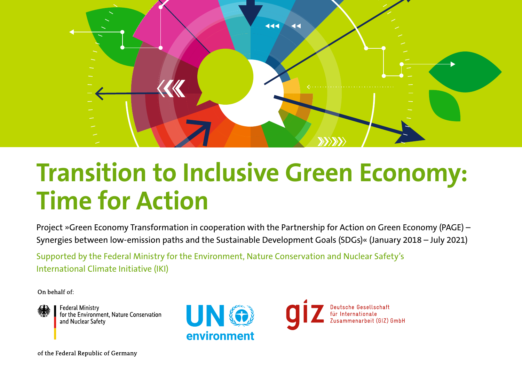

# **Transition to Inclusive Green Economy: Time for Action**

Project »Green Economy Transformation in cooperation with the Partnership for Action on Green Economy (PAGE) – Synergies between low-emission paths and the Sustainable Development Goals (SDGs)« (January 2018 – July 2021)

Supported by the Federal Ministry for the Environment, Nature Conservation and Nuclear Safety's International Climate Initiative (IKI)

On behalf of:



**Federal Ministry** for the Environment, Nature Conservation and Nuclear Safety



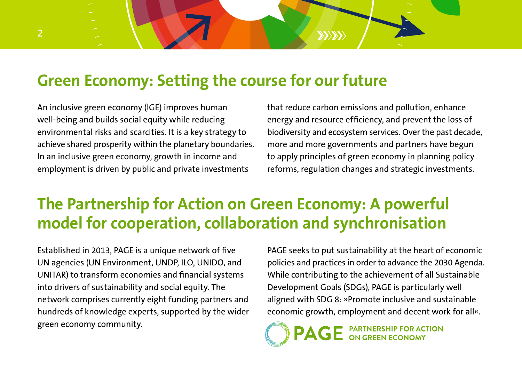### **Green Economy: Setting the course for our future**

An inclusive green economy (IGE) improves human well-being and builds social equity while reducing environmental risks and scarcities. It is a key strategy to achieve shared prosperity within the planetary boundaries. In an inclusive green economy, growth in income and employment is driven by public and private investments

that reduce carbon emissions and pollution, enhance energy and resource efficiency, and prevent the loss of biodiversity and ecosystem services. Over the past decade, more and more governments and partners have begun to apply principles of green economy in planning policy reforms, regulation changes and strategic investments.

 $\langle \rangle$ 

# **The Partnership for Action on Green Economy: A powerful model for cooperation, collaboration and synchronisation**

Established in 2013, PAGE is a unique network of five UN agencies (UN Environment, UNDP, ILO, UNIDO, and UNITAR) to transform economies and financial systems into drivers of sustainability and social equity. The network comprises currently eight funding partners and hundreds of knowledge experts, supported by the wider green economy community.

PAGE seeks to put sustainability at the heart of economic policies and practices in order to advance the 2030 Agenda. While contributing to the achievement of all Sustainable Development Goals (SDGs), PAGE is particularly well aligned with SDG 8: »Promote inclusive and sustainable economic growth, employment and decent work for all«.

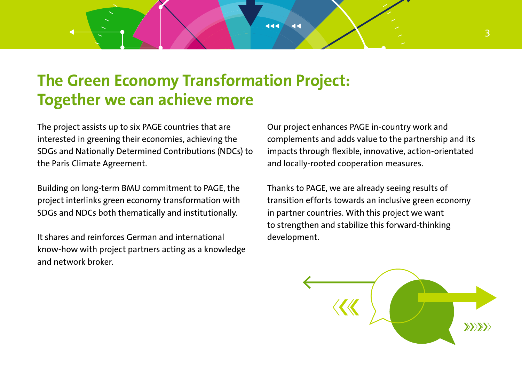### **The Green Economy Transformation Project: Together we can achieve more**

444

 $\overline{44}$ 

The project assists up to six PAGE countries that are interested in greening their economies, achieving the SDGs and Nationally Determined Contributions (NDCs) to the Paris Climate Agreement.

Building on long-term BMU commitment to PAGE, the project interlinks green economy transformation with SDGs and NDCs both thematically and institutionally.

It shares and reinforces German and international know-how with project partners acting as a knowledge and network broker.

Our project enhances PAGE in-country work and complements and adds value to the partnership and its impacts through flexible, innovative, action-orientated and locally-rooted cooperation measures.

Thanks to PAGE, we are already seeing results of transition efforts towards an inclusive green economy in partner countries. With this project we want to strengthen and stabilize this forward-thinking development.

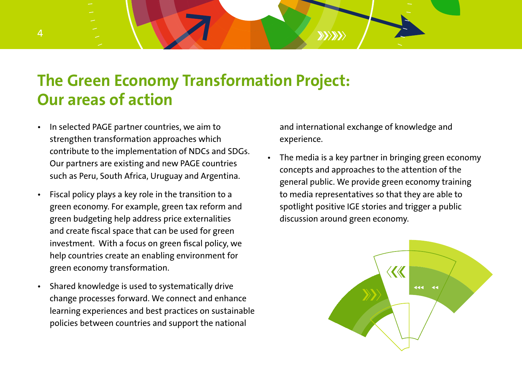## **The Green Economy Transformation Project: Our areas of action**

- In selected PAGE partner countries, we aim to strengthen transformation approaches which contribute to the implementation of NDCs and SDGs. Our partners are existing and new PAGE countries such as Peru, South Africa, Uruguay and Argentina.
- Fiscal policy plays a key role in the transition to a green economy. For example, green tax reform and green budgeting help address price externalities and create fiscal space that can be used for green investment. With a focus on green fiscal policy, we help countries create an enabling environment for green economy transformation.
- Shared knowledge is used to systematically drive change processes forward. We connect and enhance learning experiences and best practices on sustainable policies between countries and support the national

and international exchange of knowledge and experience.

 $XY/YY$ 

• The media is a key partner in bringing green economy concepts and approaches to the attention of the general public. We provide green economy training to media representatives so that they are able to spotlight positive IGE stories and trigger a public discussion around green economy.

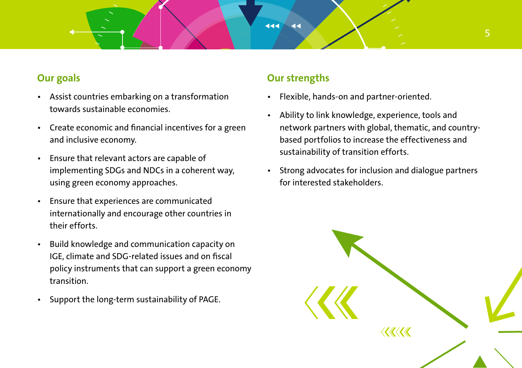#### **Our goals**

- Assist countries embarking on a transformation towards sustainable economies.
- Create economic and financial incentives for a green and inclusive economy.
- Ensure that relevant actors are capable of implementing SDGs and NDCs in a coherent way, using green economy approaches.
- Ensure that experiences are communicated internationally and encourage other countries in their efforts.
- Build knowledge and communication capacity on IGE, climate and SDG-related issues and on fiscal policy instruments that can support a green economy transition.
- Support the long-term sustainability of PAGE.

#### **Our strengths**

 $\overline{4}$ 

444

- Flexible, hands-on and partner-oriented.
- Ability to link knowledge, experience, tools and network partners with global, thematic, and countrybased portfolios to increase the effectiveness and sustainability of transition efforts.
- Strong advocates for inclusion and dialogue partners for interested stakeholders.

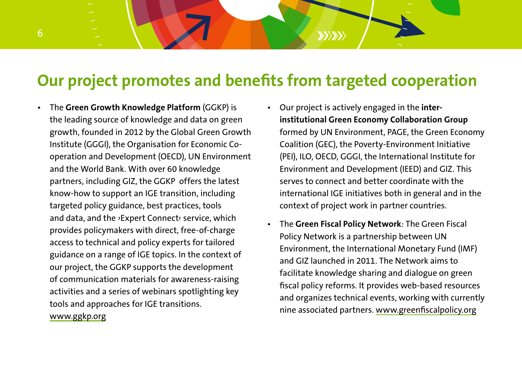## **Our project promotes and benefits from targeted cooperation**

- The **Green Growth Knowledge Platform** (GGKP) is the leading source of knowledge and data on green growth, founded in 2012 by the Global Green Growth Institute (GGGI), the Organisation for Economic Cooperation and Development (OECD), UN Environment and the World Bank. With over 60 knowledge partners, including GIZ, the GGKP offers the latest know-how to support an IGE transition, including targeted policy guidance, best practices, tools and data, and the ›Expert Connect‹ service, which provides policymakers with direct, free-of-charge access to technical and policy experts for tailored guidance on a range of IGE topics. In the context of our project, the GGKP supports the development of communication materials for awareness-raising activities and a series of webinars spotlighting key tools and approaches for IGE transitions. [www.ggkp.org](http://www.ggkp.org)
- Our project is actively engaged in the **interinstitutional Green Economy Collaboration Group** formed by UN Environment, PAGE, the Green Economy Coalition (GEC), the Poverty-Environment Initiative (PEI), ILO, OECD, GGGI, the International Institute for Environment and Development (IEED) and GIZ. This serves to connect and better coordinate with the international IGE initiatives both in general and in the context of project work in partner countries.

 $X \times Y$ 

• The **Green Fiscal Policy Network**: The Green Fiscal Policy Network is a partnership between UN Environment, the International Monetary Fund (IMF) and GIZ launched in 2011. The Network aims to facilitate knowledge sharing and dialogue on green fiscal policy reforms. It provides web-based resources and organizes technical events, working with currently nine associated partners. www.greenfiscalpolicy.org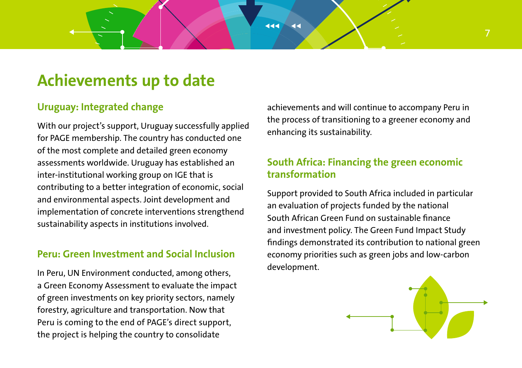### **Achievements up to date**

### **Uruguay: Integrated change**

With our project's support, Uruguay successfully applied for PAGE membership. The country has conducted one of the most complete and detailed green economy assessments worldwide. Uruguay has established an inter-institutional working group on IGE that is contributing to a better integration of economic, social and environmental aspects. Joint development and implementation of concrete interventions strengthend sustainability aspects in institutions involved.

#### **Peru: Green Investment and Social Inclusion**

In Peru, UN Environment conducted, among others, a Green Economy Assessment to evaluate the impact of green investments on key priority sectors, namely forestry, agriculture and transportation. Now that Peru is coming to the end of PAGE's direct support, the project is helping the country to consolidate

achievements and will continue to accompany Peru in the process of transitioning to a greener economy and enhancing its sustainability.

444

 $\overline{4}$ 

### **South Africa: Financing the green economic transformation**

Support provided to South Africa included in particular an evaluation of projects funded by the national South African Green Fund on sustainable finance and investment policy. The Green Fund Impact Study findings demonstrated its contribution to national green economy priorities such as green jobs and low-carbon development.